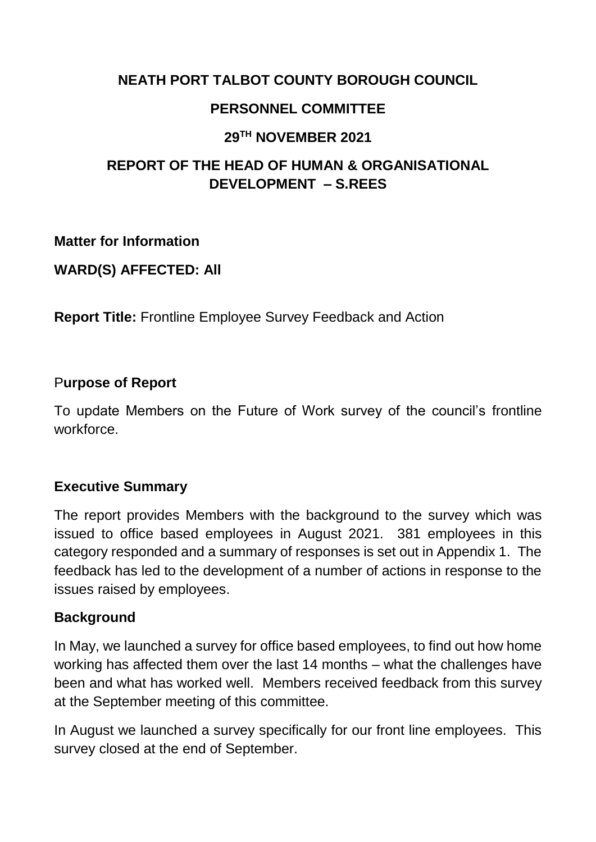### **NEATH PORT TALBOT COUNTY BOROUGH COUNCIL**

### **PERSONNEL COMMITTEE**

### **29TH NOVEMBER 2021**

# **REPORT OF THE HEAD OF HUMAN & ORGANISATIONAL DEVELOPMENT – S.REES**

**Matter for Information**

**WARD(S) AFFECTED: All**

**Report Title:** Frontline Employee Survey Feedback and Action

### P**urpose of Report**

To update Members on the Future of Work survey of the council's frontline workforce.

## **Executive Summary**

The report provides Members with the background to the survey which was issued to office based employees in August 2021. 381 employees in this category responded and a summary of responses is set out in Appendix 1. The feedback has led to the development of a number of actions in response to the issues raised by employees.

### **Background**

In May, we launched a survey for office based employees, to find out how home working has affected them over the last 14 months – what the challenges have been and what has worked well. Members received feedback from this survey at the September meeting of this committee.

In August we launched a survey specifically for our front line employees. This survey closed at the end of September.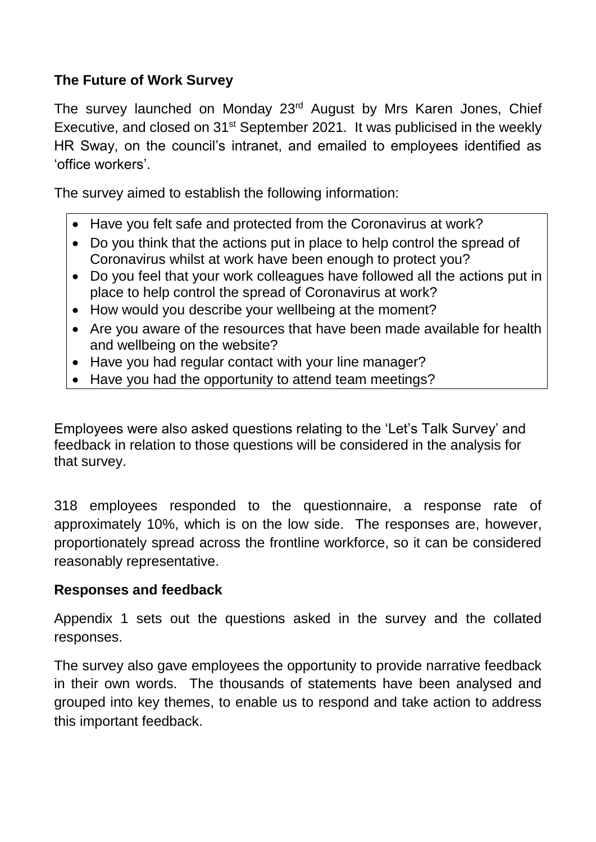# **The Future of Work Survey**

The survey launched on Monday 23<sup>rd</sup> August by Mrs Karen Jones, Chief Executive, and closed on 31<sup>st</sup> September 2021. It was publicised in the weekly HR Sway, on the council's intranet, and emailed to employees identified as 'office workers'.

The survey aimed to establish the following information:

- Have you felt safe and protected from the Coronavirus at work?
- Do you think that the actions put in place to help control the spread of Coronavirus whilst at work have been enough to protect you?
- Do you feel that your work colleagues have followed all the actions put in place to help control the spread of Coronavirus at work?
- How would you describe your wellbeing at the moment?
- Are you aware of the resources that have been made available for health and wellbeing on the website?
- Have you had regular contact with your line manager?
- Have you had the opportunity to attend team meetings?

Employees were also asked questions relating to the 'Let's Talk Survey' and feedback in relation to those questions will be considered in the analysis for that survey.

318 employees responded to the questionnaire, a response rate of approximately 10%, which is on the low side. The responses are, however, proportionately spread across the frontline workforce, so it can be considered reasonably representative.

## **Responses and feedback**

Appendix 1 sets out the questions asked in the survey and the collated responses.

The survey also gave employees the opportunity to provide narrative feedback in their own words. The thousands of statements have been analysed and grouped into key themes, to enable us to respond and take action to address this important feedback.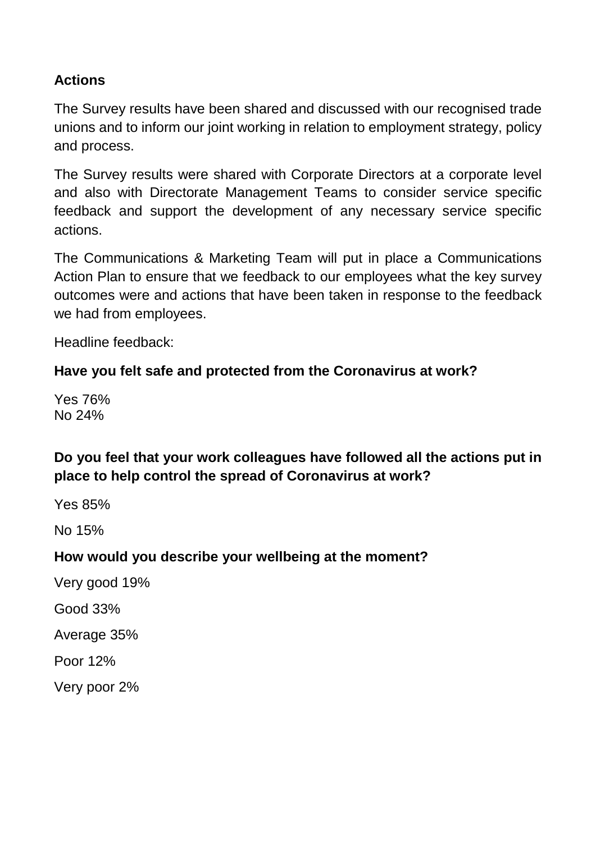## **Actions**

The Survey results have been shared and discussed with our recognised trade unions and to inform our joint working in relation to employment strategy, policy and process.

The Survey results were shared with Corporate Directors at a corporate level and also with Directorate Management Teams to consider service specific feedback and support the development of any necessary service specific actions.

The Communications & Marketing Team will put in place a Communications Action Plan to ensure that we feedback to our employees what the key survey outcomes were and actions that have been taken in response to the feedback we had from employees.

Headline feedback:

### **Have you felt safe and protected from the Coronavirus at work?**

Yes 76% No 24%

# **Do you feel that your work colleagues have followed all the actions put in place to help control the spread of Coronavirus at work?**

Yes 85%

No 15%

### **How would you describe your wellbeing at the moment?**

Very good 19%

Good 33%

Average 35%

Poor 12%

Very poor 2%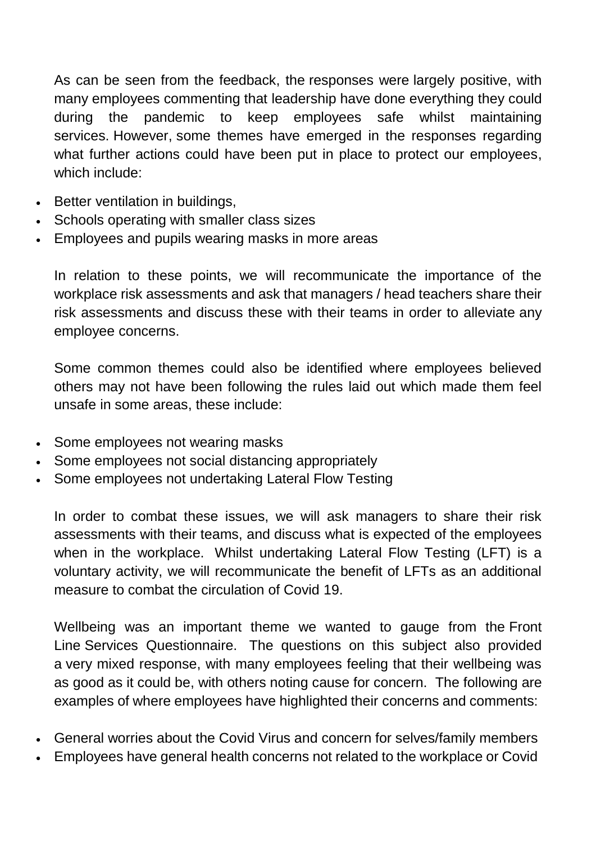As can be seen from the feedback, the responses were largely positive, with many employees commenting that leadership have done everything they could during the pandemic to keep employees safe whilst maintaining services. However, some themes have emerged in the responses regarding what further actions could have been put in place to protect our employees, which include:

- Better ventilation in buildings,
- Schools operating with smaller class sizes
- Employees and pupils wearing masks in more areas

In relation to these points, we will recommunicate the importance of the workplace risk assessments and ask that managers / head teachers share their risk assessments and discuss these with their teams in order to alleviate any employee concerns.

Some common themes could also be identified where employees believed others may not have been following the rules laid out which made them feel unsafe in some areas, these include:

- Some employees not wearing masks
- Some employees not social distancing appropriately
- Some employees not undertaking Lateral Flow Testing

In order to combat these issues, we will ask managers to share their risk assessments with their teams, and discuss what is expected of the employees when in the workplace. Whilst undertaking Lateral Flow Testing (LFT) is a voluntary activity, we will recommunicate the benefit of LFTs as an additional measure to combat the circulation of Covid 19.

Wellbeing was an important theme we wanted to gauge from the Front Line Services Questionnaire. The questions on this subject also provided a very mixed response, with many employees feeling that their wellbeing was as good as it could be, with others noting cause for concern. The following are examples of where employees have highlighted their concerns and comments:

- General worries about the Covid Virus and concern for selves/family members
- Employees have general health concerns not related to the workplace or Covid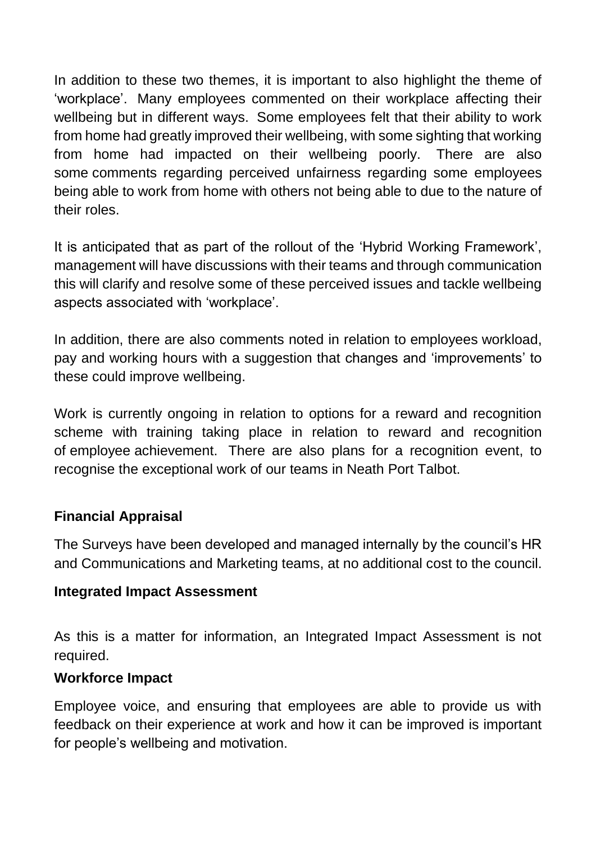In addition to these two themes, it is important to also highlight the theme of 'workplace'. Many employees commented on their workplace affecting their wellbeing but in different ways. Some employees felt that their ability to work from home had greatly improved their wellbeing, with some sighting that working from home had impacted on their wellbeing poorly. There are also some comments regarding perceived unfairness regarding some employees being able to work from home with others not being able to due to the nature of their roles.

It is anticipated that as part of the rollout of the 'Hybrid Working Framework', management will have discussions with their teams and through communication this will clarify and resolve some of these perceived issues and tackle wellbeing aspects associated with 'workplace'.

In addition, there are also comments noted in relation to employees workload, pay and working hours with a suggestion that changes and 'improvements' to these could improve wellbeing.

Work is currently ongoing in relation to options for a reward and recognition scheme with training taking place in relation to reward and recognition of employee achievement. There are also plans for a recognition event, to recognise the exceptional work of our teams in Neath Port Talbot.

### **Financial Appraisal**

The Surveys have been developed and managed internally by the council's HR and Communications and Marketing teams, at no additional cost to the council.

### **Integrated Impact Assessment**

As this is a matter for information, an Integrated Impact Assessment is not required.

### **Workforce Impact**

Employee voice, and ensuring that employees are able to provide us with feedback on their experience at work and how it can be improved is important for people's wellbeing and motivation.